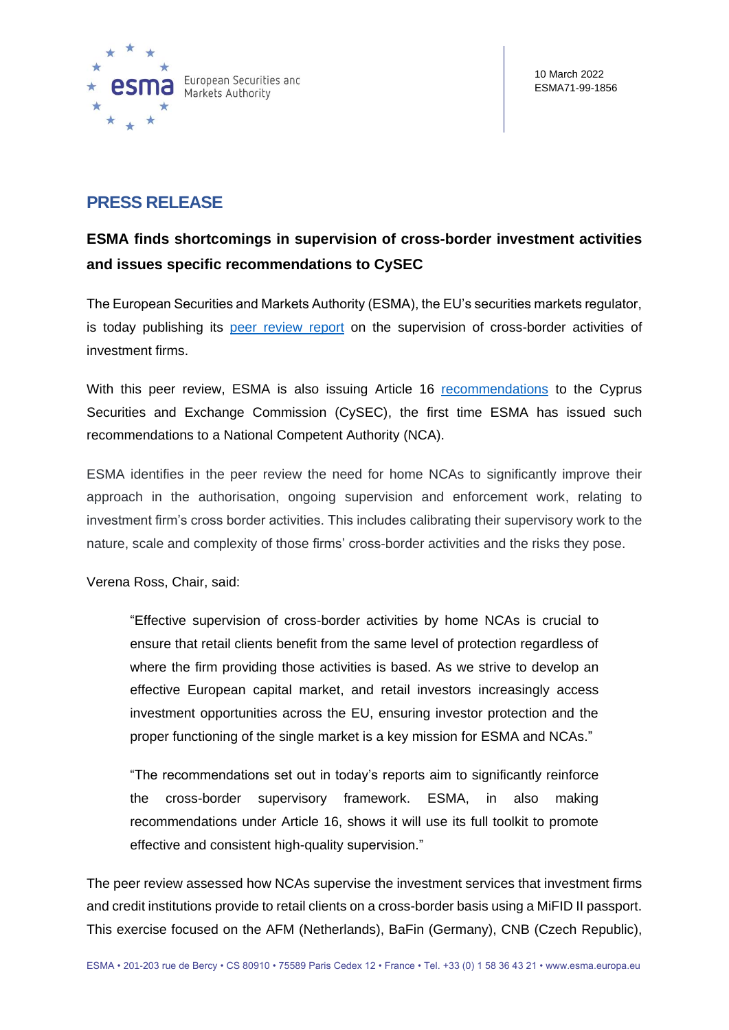

## **PRESS RELEASE**

# **ESMA finds shortcomings in supervision of cross-border investment activities and issues specific recommendations to CySEC**

The European Securities and Markets Authority (ESMA), the EU's securities markets regulator, is today publishing its [peer review report](https://www.esma.europa.eu/sites/default/files/library/esma42-111-5534_report_peer_review_cross_border_activities_investment_firms.pdf) on the supervision of cross-border activities of investment firms.

With this peer review, ESMA is also issuing Article 16 [recommendations](https://www.esma.europa.eu/sites/default/files/library/esma42-110-3354_recommendations_cysec_pr_cross-border.pdf) to the Cyprus Securities and Exchange Commission (CySEC), the first time ESMA has issued such recommendations to a National Competent Authority (NCA).

ESMA identifies in the peer review the need for home NCAs to significantly improve their approach in the authorisation, ongoing supervision and enforcement work, relating to investment firm's cross border activities. This includes calibrating their supervisory work to the nature, scale and complexity of those firms' cross-border activities and the risks they pose.

Verena Ross, Chair, said:

"Effective supervision of cross-border activities by home NCAs is crucial to ensure that retail clients benefit from the same level of protection regardless of where the firm providing those activities is based. As we strive to develop an effective European capital market, and retail investors increasingly access investment opportunities across the EU, ensuring investor protection and the proper functioning of the single market is a key mission for ESMA and NCAs."

"The recommendations set out in today's reports aim to significantly reinforce the cross-border supervisory framework. ESMA, in also making recommendations under Article 16, shows it will use its full toolkit to promote effective and consistent high-quality supervision."

The peer review assessed how NCAs supervise the investment services that investment firms and credit institutions provide to retail clients on a cross-border basis using a MiFID II passport. This exercise focused on the AFM (Netherlands), BaFin (Germany), CNB (Czech Republic),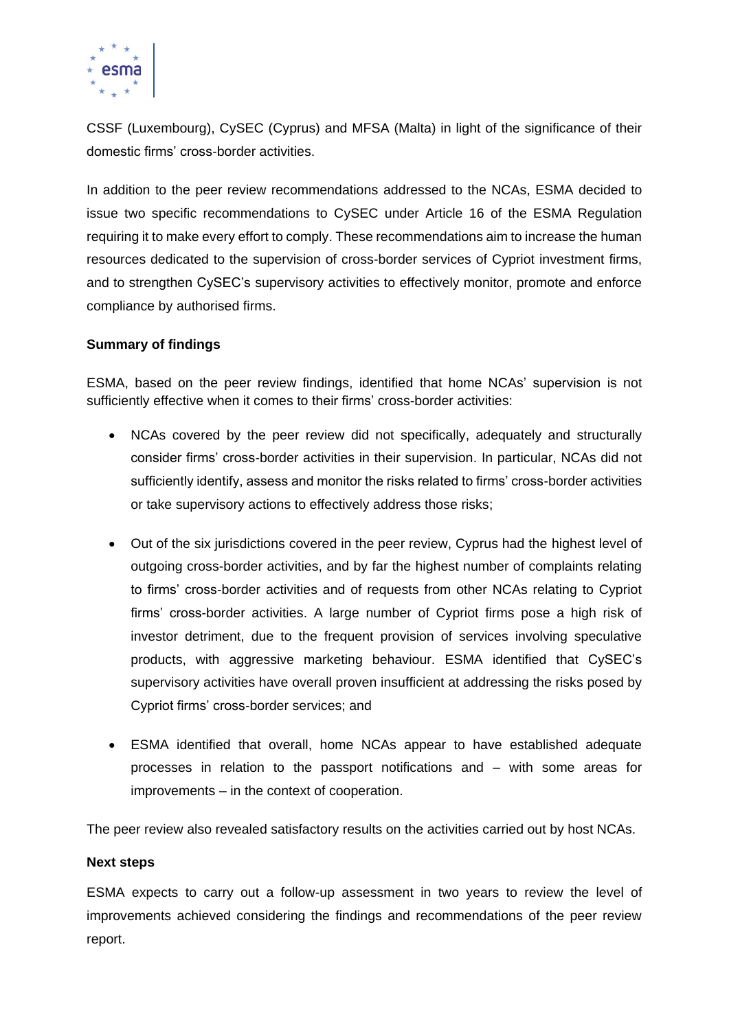

CSSF (Luxembourg), CySEC (Cyprus) and MFSA (Malta) in light of the significance of their domestic firms' cross-border activities.

In addition to the peer review recommendations addressed to the NCAs, ESMA decided to issue two specific recommendations to CySEC under Article 16 of the ESMA Regulation requiring it to make every effort to comply. These recommendations aim to increase the human resources dedicated to the supervision of cross-border services of Cypriot investment firms, and to strengthen CySEC's supervisory activities to effectively monitor, promote and enforce compliance by authorised firms.

### **Summary of findings**

ESMA, based on the peer review findings, identified that home NCAs' supervision is not sufficiently effective when it comes to their firms' cross-border activities:

- NCAs covered by the peer review did not specifically, adequately and structurally consider firms' cross-border activities in their supervision. In particular, NCAs did not sufficiently identify, assess and monitor the risks related to firms' cross-border activities or take supervisory actions to effectively address those risks;
- Out of the six jurisdictions covered in the peer review, Cyprus had the highest level of outgoing cross-border activities, and by far the highest number of complaints relating to firms' cross-border activities and of requests from other NCAs relating to Cypriot firms' cross-border activities. A large number of Cypriot firms pose a high risk of investor detriment, due to the frequent provision of services involving speculative products, with aggressive marketing behaviour. ESMA identified that CySEC's supervisory activities have overall proven insufficient at addressing the risks posed by Cypriot firms' cross-border services; and
- ESMA identified that overall, home NCAs appear to have established adequate processes in relation to the passport notifications and – with some areas for improvements – in the context of cooperation.

The peer review also revealed satisfactory results on the activities carried out by host NCAs.

#### **Next steps**

ESMA expects to carry out a follow-up assessment in two years to review the level of improvements achieved considering the findings and recommendations of the peer review report.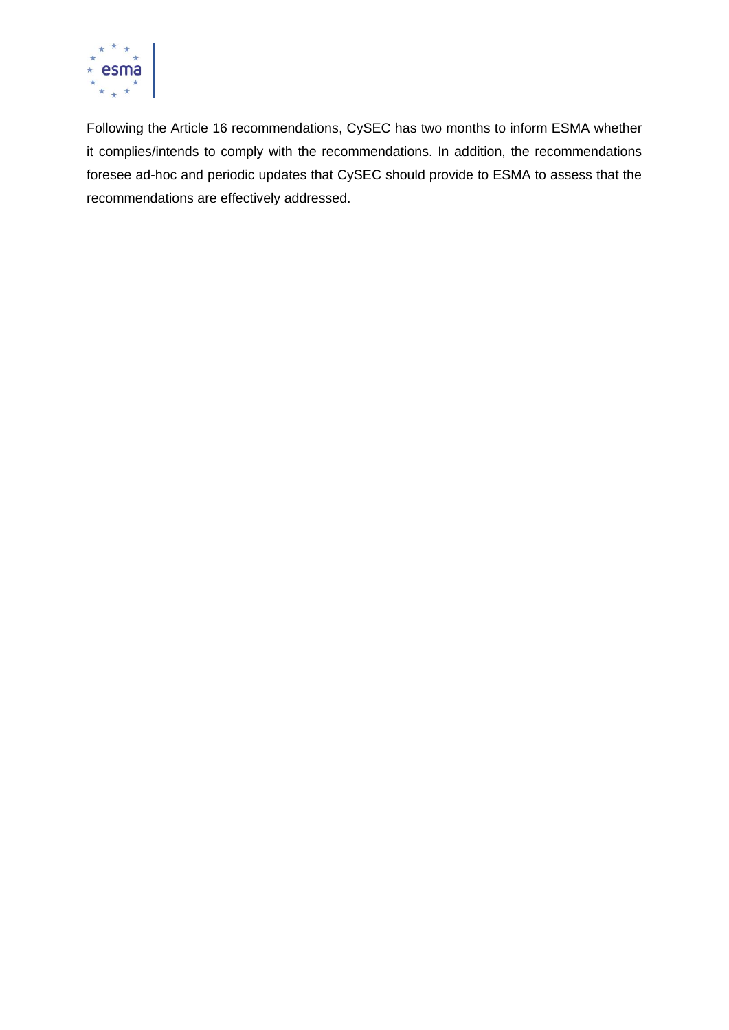

Following the Article 16 recommendations, CySEC has two months to inform ESMA whether it complies/intends to comply with the recommendations. In addition, the recommendations foresee ad-hoc and periodic updates that CySEC should provide to ESMA to assess that the recommendations are effectively addressed.